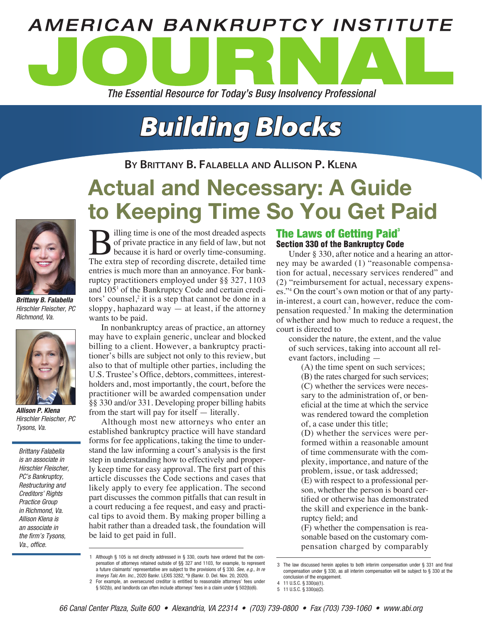

# *Building Blocks*

**By Brittany B. Falabella and Allison P. Klena**

# Actual and Necessary: A Guide to Keeping Time So You Get Paid



*Brittany B. Falabella Hirschler Fleischer, PC Richmond, Va.*



*Allison P. Klena Hirschler Fleischer, PC Tysons, Va.*

*Brittany Falabella is an associate in Hirschler Fleischer, PC's Bankruptcy, Restructuring and Creditors' Rights Practice Group in Richmond, Va. Allison Klena is an associate in the firm's Tysons, Va., office.*

Billing time is one of the most dreaded aspects<br>of private practice in any field of law, but not<br>because it is hard or overly time-consuming.<br>The extra step of recording discrete, detailed time of private practice in any field of law, but not because it is hard or overly time-consuming. The extra step of recording discrete, detailed time entries is much more than an annoyance. For bankruptcy practitioners employed under §§ 327, 1103 and 105<sup>1</sup> of the Bankruptcy Code and certain creditors' counsel,<sup>2</sup> it is a step that cannot be done in a sloppy, haphazard way  $-$  at least, if the attorney wants to be paid.

In nonbankruptcy areas of practice, an attorney may have to explain generic, unclear and blocked billing to a client. However, a bankruptcy practitioner's bills are subject not only to this review, but also to that of multiple other parties, including the U.S. Trustee's Office, debtors, committees, interestholders and, most importantly, the court, before the practitioner will be awarded compensation under §§ 330 and/or 331. Developing proper billing habits from the start will pay for itself — literally.

Although most new attorneys who enter an established bankruptcy practice will have standard forms for fee applications, taking the time to understand the law informing a court's analysis is the first step in understanding how to effectively and properly keep time for easy approval. The first part of this article discusses the Code sections and cases that likely apply to every fee application. The second part discusses the common pitfalls that can result in a court reducing a fee request, and easy and practical tips to avoid them. By making proper billing a habit rather than a dreaded task, the foundation will be laid to get paid in full.

## The Laws of Getting Paid<sup>3</sup> Section 330 of the Bankruptcy Code

Under § 330, after notice and a hearing an attorney may be awarded (1) "reasonable compensation for actual, necessary services rendered" and (2) "reimbursement for actual, necessary expenses."<sup>4</sup> On the court's own motion or that of any partyin-interest, a court can, however, reduce the compensation requested.<sup>5</sup> In making the determination of whether and how much to reduce a request, the court is directed to

consider the nature, the extent, and the value of such services, taking into account all relevant factors, including —

(A) the time spent on such services; (B) the rates charged for such services; (C) whether the services were necessary to the administration of, or beneficial at the time at which the service was rendered toward the completion of, a case under this title;

(D) whether the services were performed within a reasonable amount of time commensurate with the complexity, importance, and nature of the problem, issue, or task addressed; (E) with respect to a professional per-

son, whether the person is board certified or otherwise has demonstrated the skill and experience in the bankruptcy field; and

(F) whether the compensation is reasonable based on the customary compensation charged by comparably

<sup>1</sup> Although § 105 is not directly addressed in § 330, courts have ordered that the compensation of attorneys retained outside of §§ 327 and 1103, for example, to represent a future claimants' representative are subject to the provisions of § 330. *See, e.g., In re Imerys Talc Am. Inc.*, 2020 Bankr. LEXIS 3282, \*9 (Bankr. D. Del. Nov. 20, 2020).

<sup>2</sup> For example, an oversecured creditor is entitled to reasonable attorneys' fees under § 502(b), and landlords can often include attorneys' fees in a claim under § 502(b)(6).

<sup>3</sup> The law discussed herein applies to both interim compensation under § 331 and final compensation under § 330, as all interim compensation will be subject to § 330 at the conclusion of the engagement.

<sup>4</sup> 11 U.S.C. § 330(a)(1). 5 11 U.S.C. § 330(a)(2).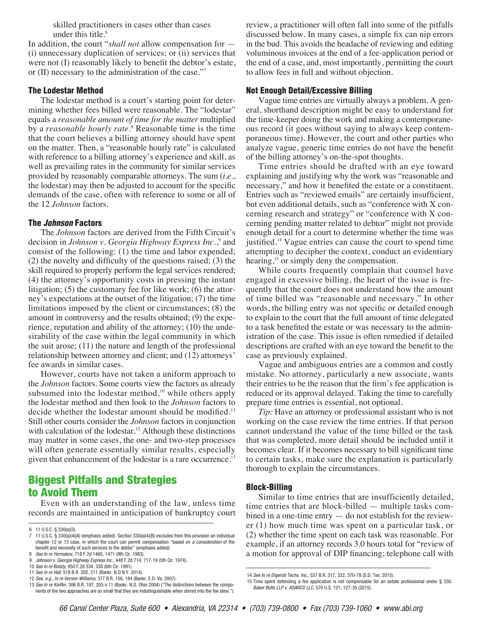skilled practitioners in cases other than cases under this title.<sup>6</sup>

In addition, the court "*shall not* allow compensation for — (i) unnecessary duplication of services; or (ii) services that were not (I) reasonably likely to benefit the debtor's estate, or (II) necessary to the administration of the case."7

#### The Lodestar Method

The lodestar method is a court's starting point for determining whether fees billed were reasonable. The "lodestar" equals a *reasonable amount of time for the matter* multiplied by a *reasonable hourly rate*.<sup>8</sup> Reasonable time is the time that the court believes a billing attorney should have spent on the matter. Then, a "reasonable hourly rate" is calculated with reference to a billing attorney's experience and skill, as well as prevailing rates in the community for similar services provided by reasonably comparable attorneys. The sum (*i.e.*, the lodestar) may then be adjusted to account for the specific demands of the case, often with reference to some or all of the 12 *Johnson* factors.

#### The *Johnson* Factors

The *Johnson* factors are derived from the Fifth Circuit's decision in *Johnson v. Georgia Highway Express Inc.*,<sup>9</sup> and consist of the following: (1) the time and labor expended; (2) the novelty and difficulty of the questions raised; (3) the skill required to properly perform the legal services rendered; (4) the attorney's opportunity costs in pressing the instant litigation; (5) the customary fee for like work; (6) the attorney's expectations at the outset of the litigation; (7) the time limitations imposed by the client or circumstances; (8) the amount in controversy and the results obtained; (9) the experience, reputation and ability of the attorney; (10) the undesirability of the case within the legal community in which the suit arose; (11) the nature and length of the professional relationship between attorney and client; and (12) attorneys' fee awards in similar cases.

However, courts have not taken a uniform approach to the *Johnson* factors. Some courts view the factors as already subsumed into the lodestar method, $10$  while others apply the lodestar method and then look to the *Johnson* factors to decide whether the lodestar amount should be modified.<sup>11</sup> Still other courts consider the *Johnson* factors in conjunction with calculation of the lodestar.<sup>12</sup> Although these distinctions may matter in some cases, the one- and two-step processes will often generate essentially similar results, especially given that enhancement of the lodestar is a rare occurrence.<sup>13</sup>

# Biggest Pitfalls and Strategies to Avoid Them

Even with an understanding of the law, unless time records are maintained in anticipation of bankruptcy court review, a practitioner will often fall into some of the pitfalls discussed below. In many cases, a simple fix can nip errors in the bud. This avoids the headache of reviewing and editing voluminous invoices at the end of a fee-application period or the end of a case, and, most importantly, permitting the court to allow fees in full and without objection.

#### Not Enough Detail/Excessive Billing

Vague time entries are virtually always a problem. A general, shorthand description might be easy to understand for the time-keeper doing the work and making a contemporaneous record (it goes without saying to always keep contemporaneous time). However, the court and other parties who analyze vague, generic time entries do not have the benefit of the billing attorney's on-the-spot thoughts.

Time entries should be drafted with an eye toward explaining and justifying why the work was "reasonable and necessary," and how it benefited the estate or a constituent. Entries such as "reviewed emails" are certainly insufficient, but even additional details, such as "conference with X concerning research and strategy" or "conference with X concerning pending matter related to debtor" might not provide enough detail for a court to determine whether the time was justified.<sup>14</sup> Vague entries can cause the court to spend time attempting to decipher the context, conduct an evidentiary hearing,<sup>15</sup> or simply deny the compensation.

While courts frequently complain that counsel have engaged in excessive billing, the heart of the issue is frequently that the court does not understand how the amount of time billed was "reasonable and necessary." In other words, the billing entry was not specific or detailed enough to explain to the court that the full amount of time delegated to a task benefited the estate or was necessary to the administration of the case. This issue is often remedied if detailed descriptions are crafted with an eye toward the benefit to the case as previously explained.

Vague and ambiguous entries are a common and costly mistake. No attorney, particularly a new associate, wants their entries to be the reason that the firm's fee application is reduced or its approval delayed. Taking the time to carefully prepare time entries is essential, not optional.

*Tip:* Have an attorney or professional assistant who is not working on the case review the time entries. If that person cannot understand the value of the time billed or the task that was completed, more detail should be included until it becomes clear. If it becomes necessary to bill significant time to certain tasks, make sure the explanation is particularly thorough to explain the circumstances.

#### Block-Billing

Similar to time entries that are insufficiently detailed, time entries that are block-billed — multiple tasks combined in a one-time entry — do not establish for the reviewer (1) how much time was spent on a particular task, or (2) whether the time spent on each task was reasonable. For example, if an attorney records 3.0 hours total for "review of a motion for approval of DIP financing; telephone call with

<sup>6</sup> 11 U.S.C. § 330(a)(3).

<sup>7</sup> 11 U.S.C. § 330(a)(4)(A) (emphasis added). Section 330(a)(4)(B) excludes from this provision an individual chapter 12 or 13 case, in which the court can permit compensation "based on *a consideration* of the benefit and necessity of such services to the debtor" (emphasis added).

<sup>8</sup> *See In re Yermakov*, 718 F.2d 1465, 1471 (9th Cir. 1983). 9 *Johnson v. Georgia Highway Express Inc.*, 448 F.2d 714, 717-19 (5th Cir. 1974).

<sup>10</sup> *See In re Boddy*, 950 F.2d 334, 338 (6th Cir. 1991).

<sup>11</sup> *See In re Hall*, 518 B.R. 202, 211 (Bankr. N.D.N.Y. 2014).

<sup>12</sup> *See, e.g., In re Vernon-Williams*, 377 B.R. 156, 184 (Bankr. E.D. Va. 2007).

<sup>13</sup> *See In re Kieffer*, 306 B.R. 197, 205 n.11 (Bankr. N.D. Ohio 2004) ("The distinctions between the components of the two approaches are so small that they are indistinguishable when stirred into the fee stew.").

<sup>14</sup> *See In re Digerati Techs. Inc.*, 537 B.R. 317, 332, 370-78 (S.D. Tex. 2015).

<sup>15</sup> Time spent defending a fee application is not compensable for an estate professional under § 330. *Baker Botts LLP v. ASARCO LLC*, 576 U.S. 121, 127-35 (2015).